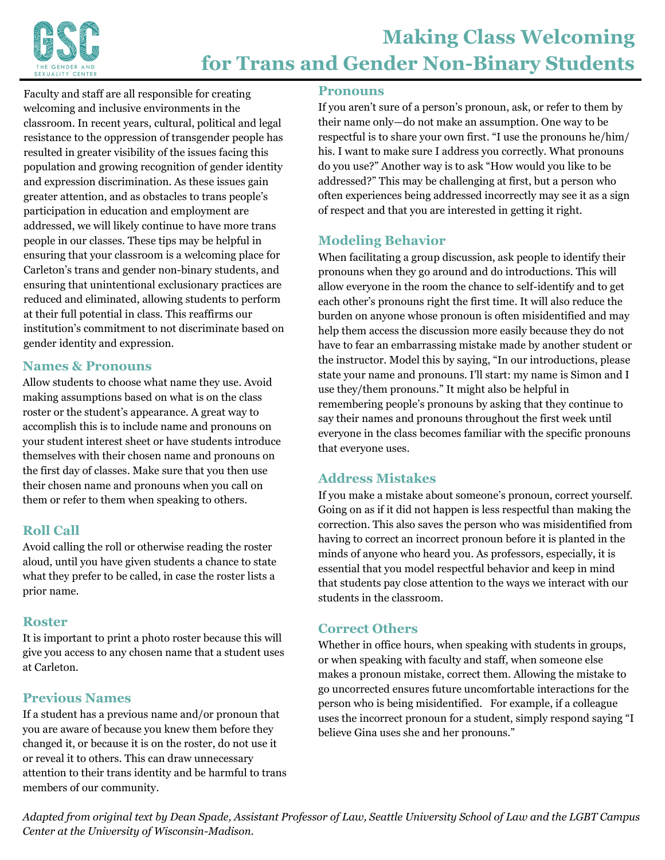

Faculty and staff are all responsible for creating welcoming and inclusive environments in the classroom. In recent years, cultural, political and legal resistance to the oppression of transgender people has resulted in greater visibility of the issues facing this population and growing recognition of gender identity and expression discrimination. As these issues gain greater attention, and as obstacles to trans people's participation in education and employment are addressed, we will likely continue to have more trans people in our classes. These tips may be helpful in ensuring that your classroom is a welcoming place for Carleton's trans and gender non-binary students, and ensuring that unintentional exclusionary practices are reduced and eliminated, allowing students to perform at their full potential in class. This reaffirms our institution's commitment to not discriminate based on gender identity and expression.

### **Names & Pronouns**

Allow students to choose what name they use. Avoid making assumptions based on what is on the class roster or the student's appearance. A great way to accomplish this is to include name and pronouns on your student interest sheet or have students introduce themselves with their chosen name and pronouns on the first day of classes. Make sure that you then use their chosen name and pronouns when you call on them or refer to them when speaking to others.

### **Roll Call**

Avoid calling the roll or otherwise reading the roster aloud, until you have given students a chance to state what they prefer to be called, in case the roster lists a prior name.

### **Roster**

It is important to print a photo roster because this will give you access to any chosen name that a student uses at Carleton.

# **Previous Names**

If a student has a previous name and/or pronoun that you are aware of because you knew them before they changed it, or because it is on the roster, do not use it or reveal it to others. This can draw unnecessary attention to their trans identity and be harmful to trans members of our community.

#### **Pronouns**

If you aren't sure of a person's pronoun, ask, or refer to them by their name only—do not make an assumption. One way to be respectful is to share your own first. "I use the pronouns he/him/ his. I want to make sure I address you correctly. What pronouns do you use?" Another way is to ask "How would you like to be addressed?" This may be challenging at first, but a person who often experiences being addressed incorrectly may see it as a sign of respect and that you are interested in getting it right.

### **Modeling Behavior**

When facilitating a group discussion, ask people to identify their pronouns when they go around and do introductions. This will allow everyone in the room the chance to self-identify and to get each other's pronouns right the first time. It will also reduce the burden on anyone whose pronoun is often misidentified and may help them access the discussion more easily because they do not have to fear an embarrassing mistake made by another student or the instructor. Model this by saying, "In our introductions, please state your name and pronouns. I'll start: my name is Simon and I use they/them pronouns." It might also be helpful in remembering people's pronouns by asking that they continue to say their names and pronouns throughout the first week until everyone in the class becomes familiar with the specific pronouns that everyone uses.

## **Address Mistakes**

If you make a mistake about someone's pronoun, correct yourself. Going on as if it did not happen is less respectful than making the correction. This also saves the person who was misidentified from having to correct an incorrect pronoun before it is planted in the minds of anyone who heard you. As professors, especially, it is essential that you model respectful behavior and keep in mind that students pay close attention to the ways we interact with our students in the classroom.

### **Correct Others**

Whether in office hours, when speaking with students in groups, or when speaking with faculty and staff, when someone else makes a pronoun mistake, correct them. Allowing the mistake to go uncorrected ensures future uncomfortable interactions for the person who is being misidentified. For example, if a colleague uses the incorrect pronoun for a student, simply respond saying "I believe Gina uses she and her pronouns."

*Adapted from original text by Dean Spade, Assistant Professor of Law, Seattle University School of Law and the LGBT Campus Center at the University of Wisconsin-Madison.*